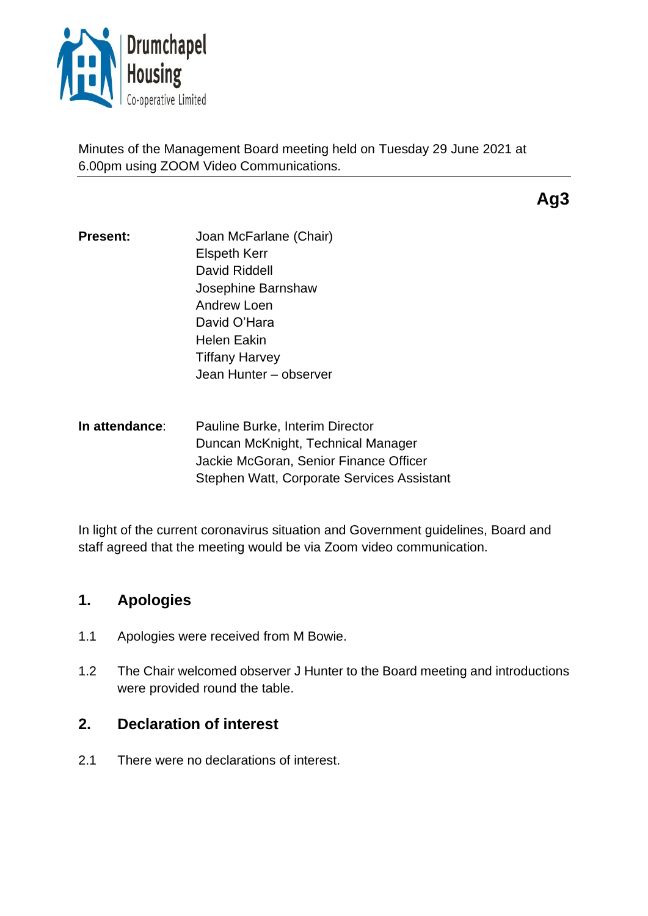

Minutes of the Management Board meeting held on Tuesday 29 June 2021 at 6.00pm using ZOOM Video Communications.

**Ag3**

- **Present:** Joan McFarlane (Chair) Elspeth Kerr David Riddell Josephine Barnshaw Andrew Loen David O'Hara Helen Eakin Tiffany Harvey Jean Hunter – observer
- **In attendance**: Pauline Burke, Interim Director Duncan McKnight, Technical Manager Jackie McGoran, Senior Finance Officer Stephen Watt, Corporate Services Assistant

In light of the current coronavirus situation and Government guidelines, Board and staff agreed that the meeting would be via Zoom video communication.

# **1. Apologies**

- 1.1 Apologies were received from M Bowie.
- 1.2 The Chair welcomed observer J Hunter to the Board meeting and introductions were provided round the table.

# **2. Declaration of interest**

2.1 There were no declarations of interest.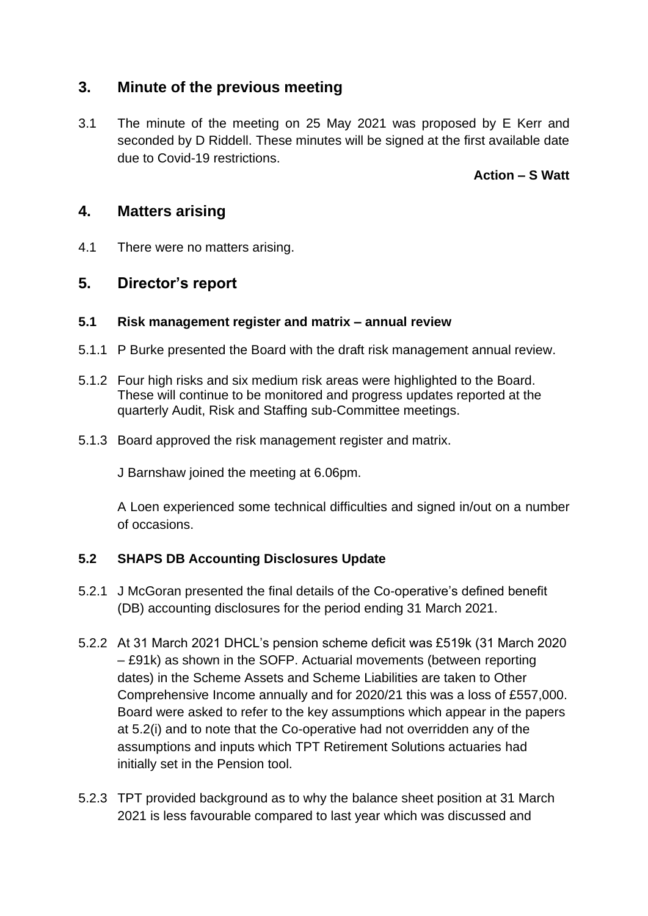# **3. Minute of the previous meeting**

3.1 The minute of the meeting on 25 May 2021 was proposed by E Kerr and seconded by D Riddell. These minutes will be signed at the first available date due to Covid-19 restrictions.

**Action – S Watt** 

## **4. Matters arising**

4.1 There were no matters arising.

# **5. Director's report**

#### **5.1 Risk management register and matrix – annual review**

- 5.1.1 P Burke presented the Board with the draft risk management annual review.
- 5.1.2 Four high risks and six medium risk areas were highlighted to the Board. These will continue to be monitored and progress updates reported at the quarterly Audit, Risk and Staffing sub-Committee meetings.
- 5.1.3 Board approved the risk management register and matrix.

J Barnshaw joined the meeting at 6.06pm.

A Loen experienced some technical difficulties and signed in/out on a number of occasions.

#### **5.2 SHAPS DB Accounting Disclosures Update**

- 5.2.1 J McGoran presented the final details of the Co-operative's defined benefit (DB) accounting disclosures for the period ending 31 March 2021.
- 5.2.2 At 31 March 2021 DHCL's pension scheme deficit was £519k (31 March 2020 – £91k) as shown in the SOFP. Actuarial movements (between reporting dates) in the Scheme Assets and Scheme Liabilities are taken to Other Comprehensive Income annually and for 2020/21 this was a loss of £557,000. Board were asked to refer to the key assumptions which appear in the papers at 5.2(i) and to note that the Co-operative had not overridden any of the assumptions and inputs which TPT Retirement Solutions actuaries had initially set in the Pension tool.
- 5.2.3 TPT provided background as to why the balance sheet position at 31 March 2021 is less favourable compared to last year which was discussed and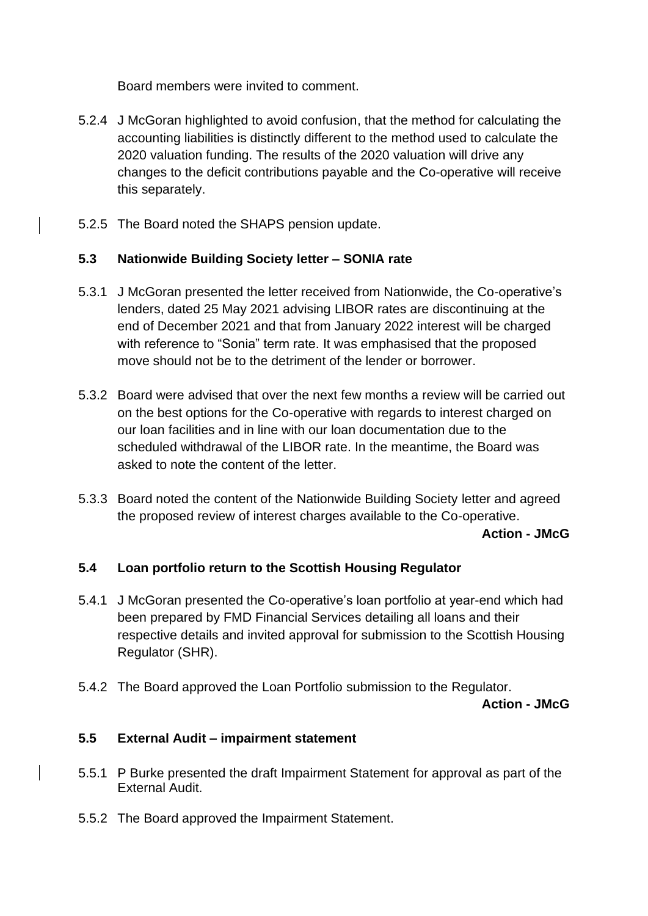Board members were invited to comment.

- 5.2.4 J McGoran highlighted to avoid confusion, that the method for calculating the accounting liabilities is distinctly different to the method used to calculate the 2020 valuation funding. The results of the 2020 valuation will drive any changes to the deficit contributions payable and the Co-operative will receive this separately.
- 5.2.5 The Board noted the SHAPS pension update.

### **5.3 Nationwide Building Society letter – SONIA rate**

- 5.3.1 J McGoran presented the letter received from Nationwide, the Co-operative's lenders, dated 25 May 2021 advising LIBOR rates are discontinuing at the end of December 2021 and that from January 2022 interest will be charged with reference to "Sonia" term rate. It was emphasised that the proposed move should not be to the detriment of the lender or borrower.
- 5.3.2 Board were advised that over the next few months a review will be carried out on the best options for the Co-operative with regards to interest charged on our loan facilities and in line with our loan documentation due to the scheduled withdrawal of the LIBOR rate. In the meantime, the Board was asked to note the content of the letter.
- 5.3.3 Board noted the content of the Nationwide Building Society letter and agreed the proposed review of interest charges available to the Co-operative.

**Action - JMcG**

#### **5.4 Loan portfolio return to the Scottish Housing Regulator**

- 5.4.1 J McGoran presented the Co-operative's loan portfolio at year-end which had been prepared by FMD Financial Services detailing all loans and their respective details and invited approval for submission to the Scottish Housing Regulator (SHR).
- 5.4.2 The Board approved the Loan Portfolio submission to the Regulator.

**Action - JMcG**

#### **5.5 External Audit – impairment statement**

- 5.5.1 P Burke presented the draft Impairment Statement for approval as part of the External Audit.
- 5.5.2 The Board approved the Impairment Statement.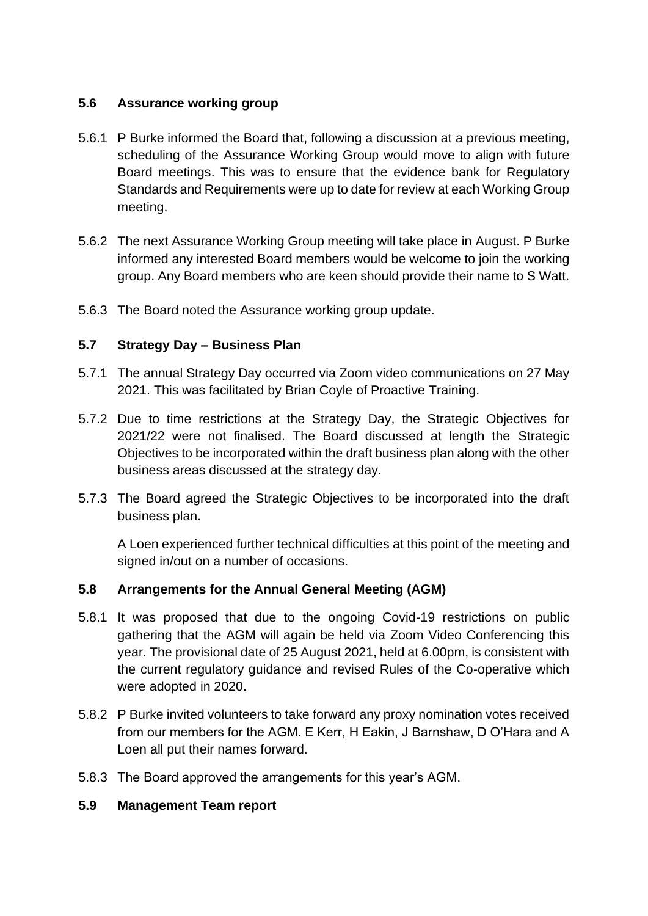### **5.6 Assurance working group**

- 5.6.1 P Burke informed the Board that, following a discussion at a previous meeting, scheduling of the Assurance Working Group would move to align with future Board meetings. This was to ensure that the evidence bank for Regulatory Standards and Requirements were up to date for review at each Working Group meeting.
- 5.6.2 The next Assurance Working Group meeting will take place in August. P Burke informed any interested Board members would be welcome to join the working group. Any Board members who are keen should provide their name to S Watt.
- 5.6.3 The Board noted the Assurance working group update.

### **5.7 Strategy Day – Business Plan**

- 5.7.1 The annual Strategy Day occurred via Zoom video communications on 27 May 2021. This was facilitated by Brian Coyle of Proactive Training.
- 5.7.2 Due to time restrictions at the Strategy Day, the Strategic Objectives for 2021/22 were not finalised. The Board discussed at length the Strategic Objectives to be incorporated within the draft business plan along with the other business areas discussed at the strategy day.
- 5.7.3 The Board agreed the Strategic Objectives to be incorporated into the draft business plan.

A Loen experienced further technical difficulties at this point of the meeting and signed in/out on a number of occasions.

## **5.8 Arrangements for the Annual General Meeting (AGM)**

- 5.8.1 It was proposed that due to the ongoing Covid-19 restrictions on public gathering that the AGM will again be held via Zoom Video Conferencing this year. The provisional date of 25 August 2021, held at 6.00pm, is consistent with the current regulatory guidance and revised Rules of the Co-operative which were adopted in 2020.
- 5.8.2 P Burke invited volunteers to take forward any proxy nomination votes received from our members for the AGM. E Kerr, H Eakin, J Barnshaw, D O'Hara and A Loen all put their names forward.
- 5.8.3 The Board approved the arrangements for this year's AGM.

#### **5.9 Management Team report**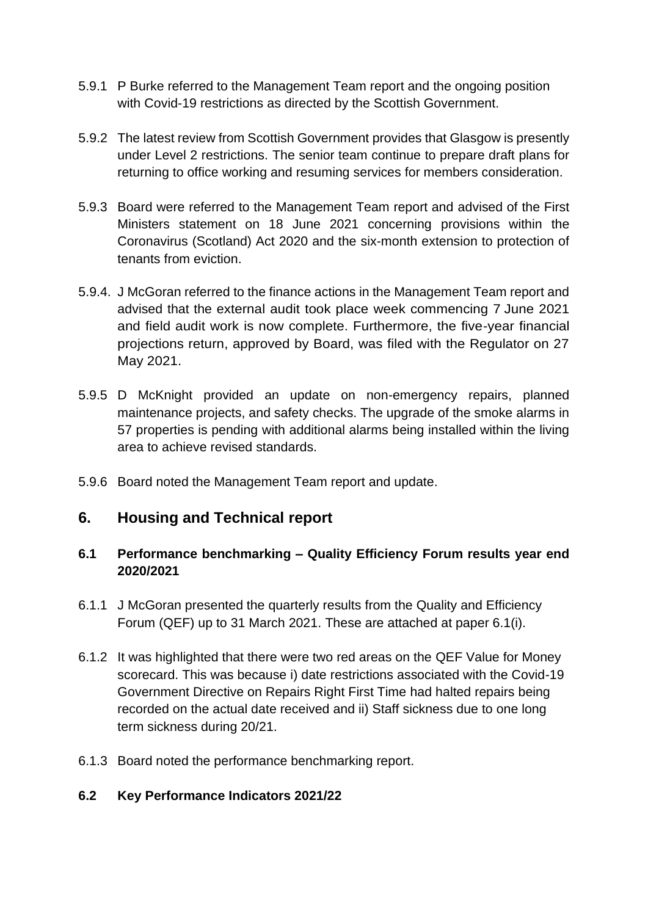- 5.9.1 P Burke referred to the Management Team report and the ongoing position with Covid-19 restrictions as directed by the Scottish Government.
- 5.9.2 The latest review from Scottish Government provides that Glasgow is presently under Level 2 restrictions. The senior team continue to prepare draft plans for returning to office working and resuming services for members consideration.
- 5.9.3 Board were referred to the Management Team report and advised of the First Ministers statement on 18 June 2021 concerning provisions within the Coronavirus (Scotland) Act 2020 and the six-month extension to protection of tenants from eviction.
- 5.9.4. J McGoran referred to the finance actions in the Management Team report and advised that the external audit took place week commencing 7 June 2021 and field audit work is now complete. Furthermore, the five-year financial projections return, approved by Board, was filed with the Regulator on 27 May 2021.
- 5.9.5 D McKnight provided an update on non-emergency repairs, planned maintenance projects, and safety checks. The upgrade of the smoke alarms in 57 properties is pending with additional alarms being installed within the living area to achieve revised standards.
- 5.9.6 Board noted the Management Team report and update.

## **6. Housing and Technical report**

### **6.1 Performance benchmarking – Quality Efficiency Forum results year end 2020/2021**

- 6.1.1 J McGoran presented the quarterly results from the Quality and Efficiency Forum (QEF) up to 31 March 2021. These are attached at paper 6.1(i).
- 6.1.2 It was highlighted that there were two red areas on the QEF Value for Money scorecard. This was because i) date restrictions associated with the Covid-19 Government Directive on Repairs Right First Time had halted repairs being recorded on the actual date received and ii) Staff sickness due to one long term sickness during 20/21.
- 6.1.3 Board noted the performance benchmarking report.

#### **6.2 Key Performance Indicators 2021/22**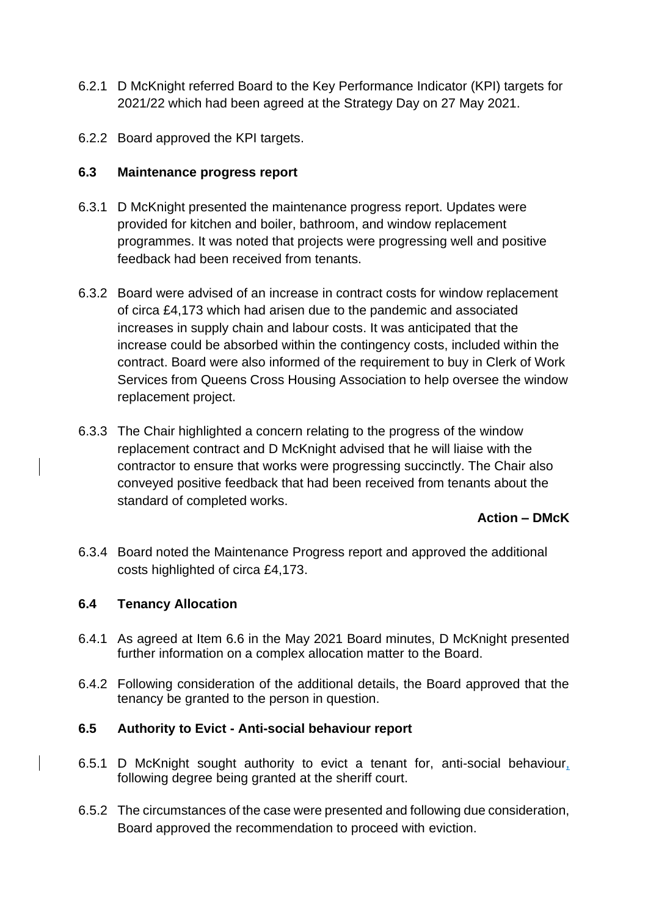- 6.2.1 D McKnight referred Board to the Key Performance Indicator (KPI) targets for 2021/22 which had been agreed at the Strategy Day on 27 May 2021.
- 6.2.2 Board approved the KPI targets.

#### **6.3 Maintenance progress report**

- 6.3.1 D McKnight presented the maintenance progress report. Updates were provided for kitchen and boiler, bathroom, and window replacement programmes. It was noted that projects were progressing well and positive feedback had been received from tenants.
- 6.3.2 Board were advised of an increase in contract costs for window replacement of circa £4,173 which had arisen due to the pandemic and associated increases in supply chain and labour costs. It was anticipated that the increase could be absorbed within the contingency costs, included within the contract. Board were also informed of the requirement to buy in Clerk of Work Services from Queens Cross Housing Association to help oversee the window replacement project.
- 6.3.3 The Chair highlighted a concern relating to the progress of the window replacement contract and D McKnight advised that he will liaise with the contractor to ensure that works were progressing succinctly. The Chair also conveyed positive feedback that had been received from tenants about the standard of completed works.

#### **Action – DMcK**

6.3.4 Board noted the Maintenance Progress report and approved the additional costs highlighted of circa £4,173.

#### **6.4 Tenancy Allocation**

- 6.4.1 As agreed at Item 6.6 in the May 2021 Board minutes, D McKnight presented further information on a complex allocation matter to the Board.
- 6.4.2 Following consideration of the additional details, the Board approved that the tenancy be granted to the person in question.

#### **6.5 Authority to Evict - Anti-social behaviour report**

- 6.5.1 D McKnight sought authority to evict a tenant for, anti-social behaviour, following degree being granted at the sheriff court.
- 6.5.2 The circumstances of the case were presented and following due consideration, Board approved the recommendation to proceed with eviction.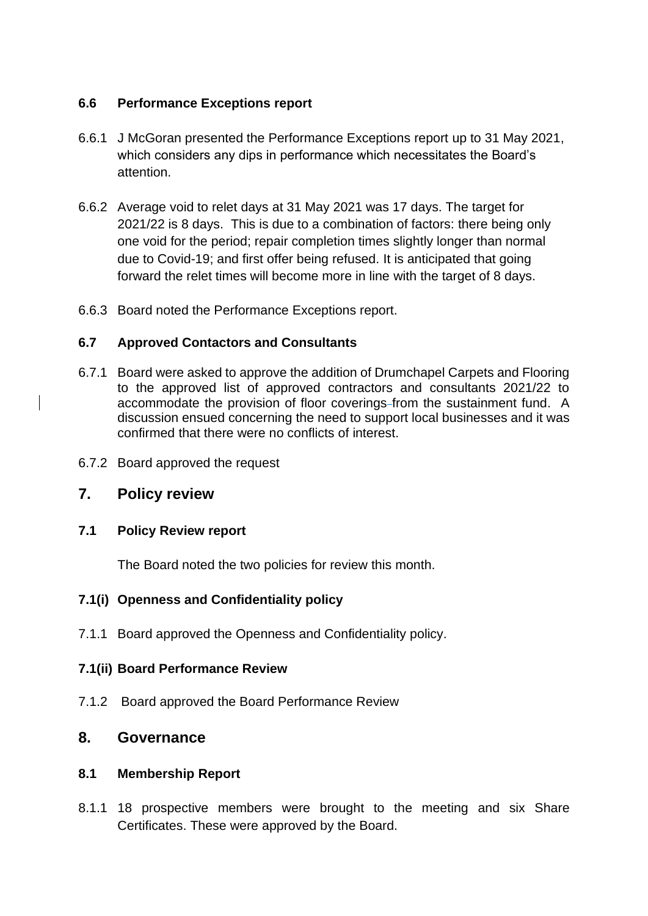#### **6.6 Performance Exceptions report**

- 6.6.1 J McGoran presented the Performance Exceptions report up to 31 May 2021, which considers any dips in performance which necessitates the Board's attention.
- 6.6.2 Average void to relet days at 31 May 2021 was 17 days. The target for 2021/22 is 8 days. This is due to a combination of factors: there being only one void for the period; repair completion times slightly longer than normal due to Covid-19; and first offer being refused. It is anticipated that going forward the relet times will become more in line with the target of 8 days.
- 6.6.3 Board noted the Performance Exceptions report.

#### **6.7 Approved Contactors and Consultants**

- 6.7.1 Board were asked to approve the addition of Drumchapel Carpets and Flooring to the approved list of approved contractors and consultants 2021/22 to accommodate the provision of floor coverings from the sustainment fund. A discussion ensued concerning the need to support local businesses and it was confirmed that there were no conflicts of interest.
- 6.7.2 Board approved the request
- **7. Policy review**

#### **7.1 Policy Review report**

The Board noted the two policies for review this month.

#### **7.1(i) Openness and Confidentiality policy**

7.1.1 Board approved the Openness and Confidentiality policy.

#### **7.1(ii) Board Performance Review**

7.1.2 Board approved the Board Performance Review

### **8. Governance**

#### **8.1 Membership Report**

8.1.1 18 prospective members were brought to the meeting and six Share Certificates. These were approved by the Board.